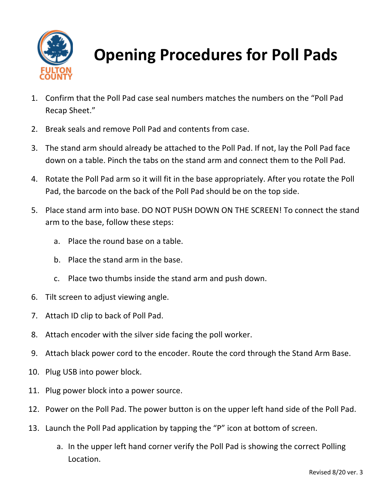

**Opening Procedures for Poll Pads**

- 1. Confirm that the Poll Pad case seal numbers matches the numbers on the "Poll Pad Recap Sheet."
- 2. Break seals and remove Poll Pad and contents from case.
- 3. The stand arm should already be attached to the Poll Pad. If not, lay the Poll Pad face down on a table. Pinch the tabs on the stand arm and connect them to the Poll Pad.
- 4. Rotate the Poll Pad arm so it will fit in the base appropriately. After you rotate the Poll Pad, the barcode on the back of the Poll Pad should be on the top side.
- 5. Place stand arm into base. DO NOT PUSH DOWN ON THE SCREEN! To connect the stand arm to the base, follow these steps:
	- a. Place the round base on a table.
	- b. Place the stand arm in the base.
	- c. Place two thumbs inside the stand arm and push down.
- 6. Tilt screen to adjust viewing angle.
- 7. Attach ID clip to back of Poll Pad.
- 8. Attach encoder with the silver side facing the poll worker.
- 9. Attach black power cord to the encoder. Route the cord through the Stand Arm Base.
- 10. Plug USB into power block.
- 11. Plug power block into a power source.
- 12. Power on the Poll Pad. The power button is on the upper left hand side of the Poll Pad.
- 13. Launch the Poll Pad application by tapping the "P" icon at bottom of screen.
	- a. In the upper left hand corner verify the Poll Pad is showing the correct Polling Location.